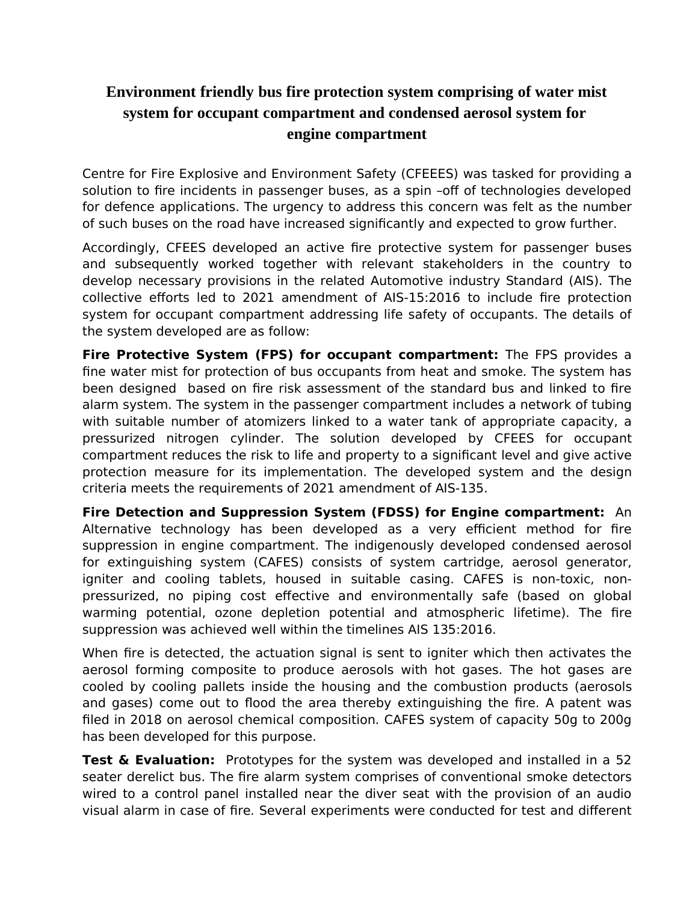## **Environment friendly bus fire protection system comprising of water mist system for occupant compartment and condensed aerosol system for engine compartment**

Centre for Fire Explosive and Environment Safety (CFEEES) was tasked for providing a solution to fire incidents in passenger buses, as a spin –off of technologies developed for defence applications. The urgency to address this concern was felt as the number of such buses on the road have increased significantly and expected to grow further.

Accordingly, CFEES developed an active fire protective system for passenger buses and subsequently worked together with relevant stakeholders in the country to develop necessary provisions in the related Automotive industry Standard (AIS). The collective efforts led to 2021 amendment of AIS-15:2016 to include fire protection system for occupant compartment addressing life safety of occupants. The details of the system developed are as follow:

**Fire Protective System (FPS) for occupant compartment:** The FPS provides a fine water mist for protection of bus occupants from heat and smoke. The system has been designed based on fire risk assessment of the standard bus and linked to fire alarm system. The system in the passenger compartment includes a network of tubing with suitable number of atomizers linked to a water tank of appropriate capacity, a pressurized nitrogen cylinder. The solution developed by CFEES for occupant compartment reduces the risk to life and property to a significant level and give active protection measure for its implementation. The developed system and the design criteria meets the requirements of 2021 amendment of AIS-135.

**Fire Detection and Suppression System (FDSS) for Engine compartment:** An Alternative technology has been developed as a very efficient method for fire suppression in engine compartment. The indigenously developed condensed aerosol for extinguishing system (CAFES) consists of system cartridge, aerosol generator, igniter and cooling tablets, housed in suitable casing. CAFES is non-toxic, nonpressurized, no piping cost effective and environmentally safe (based on global warming potential, ozone depletion potential and atmospheric lifetime). The fire suppression was achieved well within the timelines AIS 135:2016.

When fire is detected, the actuation signal is sent to igniter which then activates the aerosol forming composite to produce aerosols with hot gases. The hot gases are cooled by cooling pallets inside the housing and the combustion products (aerosols and gases) come out to flood the area thereby extinguishing the fire. A patent was filed in 2018 on aerosol chemical composition. CAFES system of capacity 50g to 200g has been developed for this purpose.

**Test & Evaluation:** Prototypes for the system was developed and installed in a 52 seater derelict bus. The fire alarm system comprises of conventional smoke detectors wired to a control panel installed near the diver seat with the provision of an audio visual alarm in case of fire. Several experiments were conducted for test and different